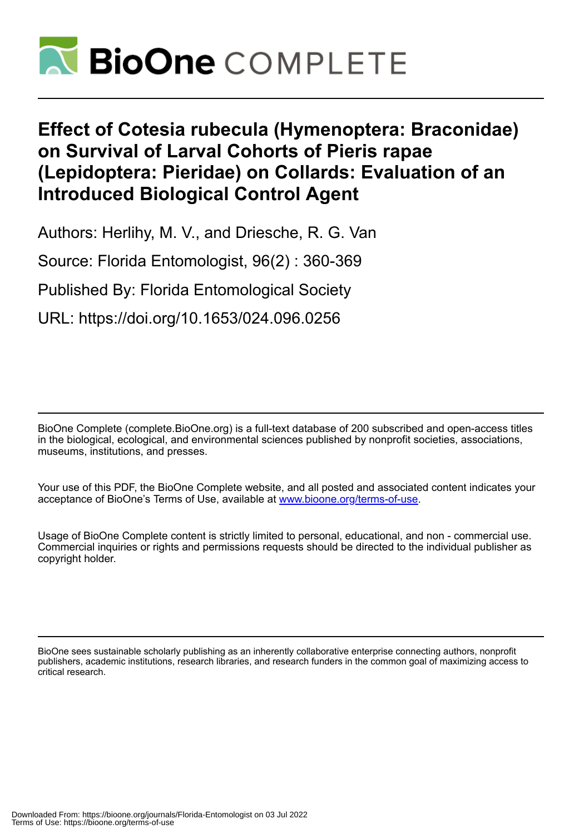

# **Effect of Cotesia rubecula (Hymenoptera: Braconidae) on Survival of Larval Cohorts of Pieris rapae (Lepidoptera: Pieridae) on Collards: Evaluation of an Introduced Biological Control Agent**

Authors: Herlihy, M. V., and Driesche, R. G. Van

Source: Florida Entomologist, 96(2) : 360-369

Published By: Florida Entomological Society

URL: https://doi.org/10.1653/024.096.0256

BioOne Complete (complete.BioOne.org) is a full-text database of 200 subscribed and open-access titles in the biological, ecological, and environmental sciences published by nonprofit societies, associations, museums, institutions, and presses.

Your use of this PDF, the BioOne Complete website, and all posted and associated content indicates your acceptance of BioOne's Terms of Use, available at www.bioone.org/terms-of-use.

Usage of BioOne Complete content is strictly limited to personal, educational, and non - commercial use. Commercial inquiries or rights and permissions requests should be directed to the individual publisher as copyright holder.

BioOne sees sustainable scholarly publishing as an inherently collaborative enterprise connecting authors, nonprofit publishers, academic institutions, research libraries, and research funders in the common goal of maximizing access to critical research.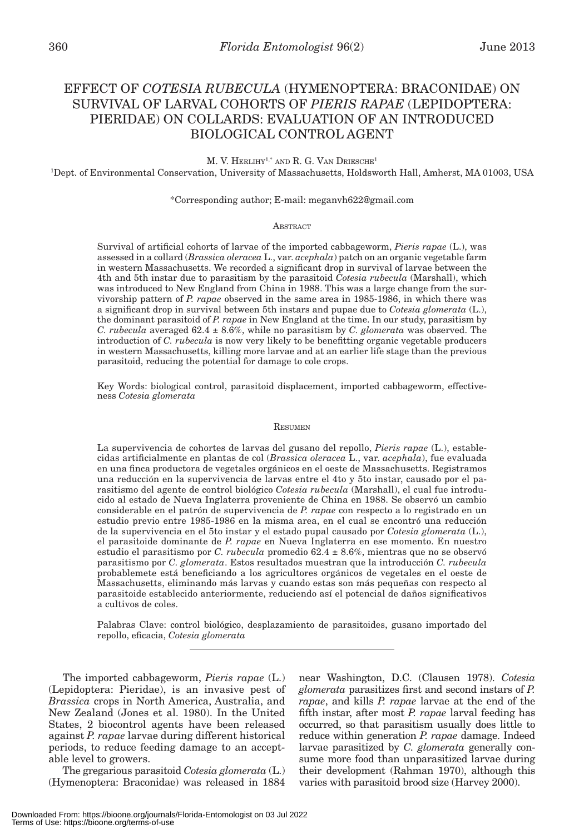## EFFECT OF *COTESIA RUBECULA* (HYMENOPTERA: BRACONIDAE) ON SURVIVAL OF LARVAL COHORTS OF *PIERIS RAPAE* (LEPIDOPTERA: PIERIDAE) ON COLLARDS: EVALUATION OF AN INTRODUCED BIOLOGICAL CONTROL AGENT

M. V. HERLIHY<sup>1,\*</sup> AND R. G. VAN DRIESCHE<sup>1</sup>

1 Dept. of Environmental Conservation, University of Massachusetts, Holdsworth Hall, Amherst, MA 01003, USA

#### \*Corresponding author; E-mail: meganvh622@gmail.com

#### **ABSTRACT**

Survival of artificial cohorts of larvae of the imported cabbageworm, *Pieris rapae* (L.), was assessed in a collard (*Brassica oleracea* L., var. *acephala*) patch on an organic vegetable farm in western Massachusetts. We recorded a significant drop in survival of larvae between the 4th and 5th instar due to parasitism by the parasitoid *Cotesia rubecula* (Marshall), which was introduced to New England from China in 1988. This was a large change from the survivorship pattern of *P. rapae* observed in the same area in 1985-1986, in which there was a significant drop in survival between 5th instars and pupae due to *Cotesia glomerata* (L.), the dominant parasitoid of *P. rapae* in New England at the time. In our study, parasitism by *C. rubecula* averaged 62.4 ± 8.6%, while no parasitism by *C. glomerata* was observed. The introduction of *C. rubecula* is now very likely to be benefitting organic vegetable producers in western Massachusetts, killing more larvae and at an earlier life stage than the previous parasitoid, reducing the potential for damage to cole crops.

Key Words: biological control, parasitoid displacement, imported cabbageworm, effectiveness *Cotesia glomerata*

#### **RESUMEN**

La supervivencia de cohortes de larvas del gusano del repollo, *Pieris rapae* (L.), establecidas artificialmente en plantas de col (*Brassica oleracea* L., var. *acephala*), fue evaluada en una finca productora de vegetales orgánicos en el oeste de Massachusetts. Registramos una reducción en la supervivencia de larvas entre el 4to y 5to instar, causado por el parasitismo del agente de control biológico *Cotesia rubecula* (Marshall), el cual fue introducido al estado de Nueva Inglaterra proveniente de China en 1988. Se observó un cambio considerable en el patrón de supervivencia de *P. rapae* con respecto a lo registrado en un estudio previo entre 1985-1986 en la misma area, en el cual se encontró una reducción de la supervivencia en el 5to instar y el estado pupal causado por *Cotesia glomerata* (L.), el parasitoide dominante de *P. rapae* en Nueva Inglaterra en ese momento. En nuestro estudio el parasitismo por *C. rubecula* promedio 62.4 ± 8.6%, mientras que no se observó parasitismo por *C. glomerata*. Estos resultados muestran que la introducción *C. rubecula* probablemete está beneficiando a los agricultores orgánicos de vegetales en el oeste de Massachusetts, eliminando más larvas y cuando estas son más pequeñas con respecto al parasitoide establecido anteriormente, reduciendo así el potencial de daños significativos a cultivos de coles.

Palabras Clave: control biológico, desplazamiento de parasitoides, gusano importado del repollo, eficacia, *Cotesia glomerata*

The imported cabbageworm, *Pieris rapae* (L.) (Lepidoptera: Pieridae), is an invasive pest of *Brassica* crops in North America, Australia, and New Zealand (Jones et al. 1980). In the United States, 2 biocontrol agents have been released against *P. rapae* larvae during different historical periods, to reduce feeding damage to an acceptable level to growers.

The gregarious parasitoid *Cotesia glomerata* (L.) (Hymenoptera: Braconidae) was released in 1884

near Washington, D.C. (Clausen 1978). *Cotesia glomerata* parasitizes first and second instars of *P. rapae*, and kills *P. rapae* larvae at the end of the fifth instar, after most *P. rapae* larval feeding has occurred, so that parasitism usually does little to reduce within generation *P. rapae* damage. Indeed larvae parasitized by *C. glomerata* generally consume more food than unparasitized larvae during their development (Rahman 1970), although this varies with parasitoid brood size (Harvey 2000).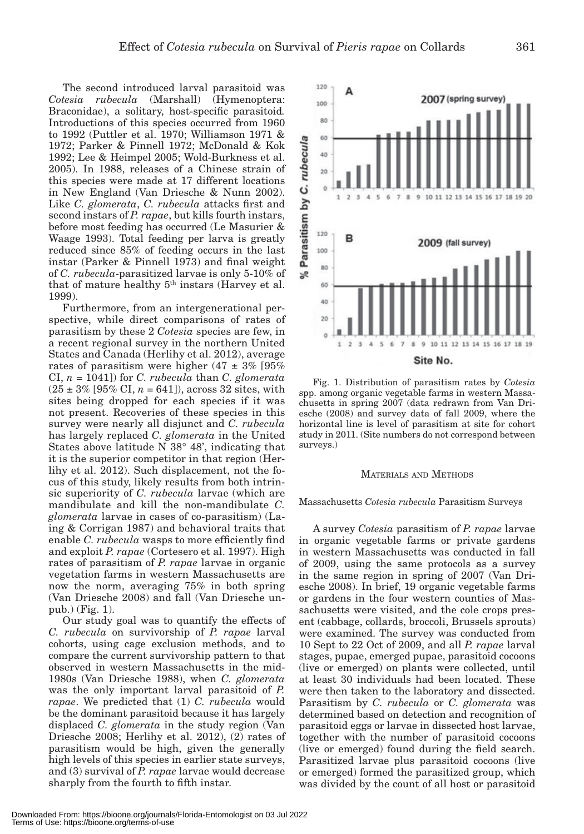The second introduced larval parasitoid was *Cotesia rubecula* (Marshall) (Hymenoptera: Braconidae), a solitary, host-specific parasitoid*.*  Introductions of this species occurred from 1960 to 1992 (Puttler et al. 1970; Williamson 1971 & 1972; Parker & Pinnell 1972; McDonald & Kok 1992; Lee & Heimpel 2005; Wold-Burkness et al. 2005). In 1988, releases of a Chinese strain of this species were made at 17 different locations in New England (Van Driesche & Nunn 2002). Like *C. glomerata*, *C. rubecula* attacks first and second instars of *P. rapae*, but kills fourth instars, before most feeding has occurred (Le Masurier & Waage 1993). Total feeding per larva is greatly reduced since 85% of feeding occurs in the last instar (Parker & Pinnell 1973) and final weight of *C. rubecula*-parasitized larvae is only 5-10% of that of mature healthy 5<sup>th</sup> instars (Harvey et al. 1999).

Furthermore, from an intergenerational perspective, while direct comparisons of rates of parasitism by these 2 *Cotesia* species are few, in a recent regional survey in the northern United States and Canada (Herlihy et al. 2012), average rates of parasitism were higher  $(47 \pm 3\%)$  [95% CI, *n* = 1041]) for *C. rubecula* than *C. glomerata*  $(25 \pm 3\%$  [95% CI,  $n = 641$ ]), across 32 sites, with sites being dropped for each species if it was not present. Recoveries of these species in this survey were nearly all disjunct and *C. rubecula* has largely replaced *C. glomerata* in the United States above latitude N 38° 48', indicating that it is the superior competitor in that region (Herlihy et al. 2012). Such displacement, not the focus of this study, likely results from both intrinsic superiority of *C. rubecula* larvae (which are mandibulate and kill the non-mandibulate *C. glomerata* larvae in cases of co-parasitism) (Laing & Corrigan 1987) and behavioral traits that enable *C. rubecula* wasps to more efficiently find and exploit *P. rapae* (Cortesero et al. 1997). High rates of parasitism of *P. rapae* larvae in organic vegetation farms in western Massachusetts are now the norm, averaging 75% in both spring (Van Driesche 2008) and fall (Van Driesche unpub.) (Fig. 1).

Our study goal was to quantify the effects of *C. rubecula* on survivorship of *P. rapae* larval cohorts, using cage exclusion methods, and to compare the current survivorship pattern to that observed in western Massachusetts in the mid-1980s (Van Driesche 1988), when *C. glomerata* was the only important larval parasitoid of *P. rapae*. We predicted that (1) *C. rubecula* would be the dominant parasitoid because it has largely displaced *C. glomerata* in the study region (Van Driesche 2008; Herlihy et al. 2012), (2) rates of parasitism would be high, given the generally high levels of this species in earlier state surveys, and (3) survival of *P. rapae* larvae would decrease sharply from the fourth to fifth instar.

60 40 20  $\theta$  $\overline{z}$ Site No. Fig. 1. Distribution of parasitism rates by *Cotesia* spp. among organic vegetable farms in western Massachusetts in spring 2007 (data redrawn from Van Driesche (2008) and survey data of fall 2009, where the horizontal line is level of parasitism at site for cohort

#### MATERIALS AND METHODS

study in 2011. (Site numbers do not correspond between

surveys.)

#### Massachusetts *Cotesia rubecula* Parasitism Surveys

A survey *Cotesia* parasitism of *P. rapae* larvae in organic vegetable farms or private gardens in western Massachusetts was conducted in fall of 2009, using the same protocols as a survey in the same region in spring of 2007 (Van Driesche 2008). In brief, 19 organic vegetable farms or gardens in the four western counties of Massachusetts were visited, and the cole crops present (cabbage, collards, broccoli, Brussels sprouts) were examined. The survey was conducted from 10 Sept to 22 Oct of 2009, and all *P. rapae* larval stages, pupae, emerged pupae, parasitoid cocoons (live or emerged) on plants were collected, until at least 30 individuals had been located. These were then taken to the laboratory and dissected. Parasitism by *C. rubecula* or *C. glomerata* was determined based on detection and recognition of parasitoid eggs or larvae in dissected host larvae, together with the number of parasitoid cocoons (live or emerged) found during the field search. Parasitized larvae plus parasitoid cocoons (live or emerged) formed the parasitized group, which was divided by the count of all host or parasitoid

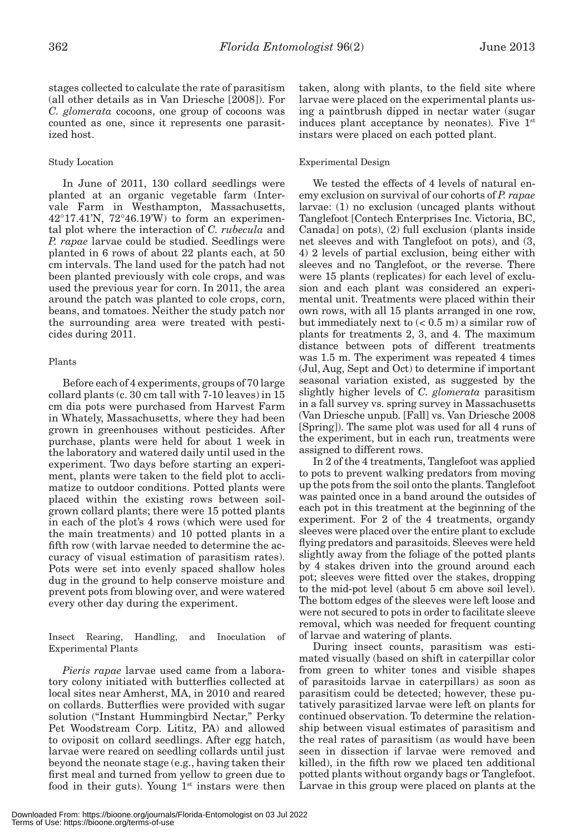stages collected to calculate the rate of parasitism (all other details as in Van Driesche [2008]). For *C. glomerata* cocoons, one group of cocoons was counted as one, since it represents one parasitized host.

## Study Location

In June of 2011, 130 collard seedlings were planted at an organic vegetable farm (Intervale Farm in Westhampton, Massachusetts,  $42^{\circ}17.41'$ N,  $72^{\circ}46.19'$ W to form an experimental plot where the interaction of *C. rubecula* and *P. rapae* larvae could be studied. Seedlings were planted in 6 rows of about 22 plants each, at 50 cm intervals. The land used for the patch had not been planted previously with cole crops, and was used the previous year for corn. In 2011, the area around the patch was planted to cole crops, corn, beans, and tomatoes. Neither the study patch nor the surrounding area were treated with pesticides during 2011.

## Plants

Before each of 4 experiments, groups of 70 large collard plants (c. 30 cm tall with 7-10 leaves) in 15 cm dia pots were purchased from Harvest Farm in Whately, Massachusetts, where they had been grown in greenhouses without pesticides. After purchase, plants were held for about 1 week in the laboratory and watered daily until used in the experiment. Two days before starting an experiment, plants were taken to the field plot to acclimatize to outdoor conditions. Potted plants were placed within the existing rows between soilgrown collard plants; there were 15 potted plants in each of the plot's 4 rows (which were used for the main treatments) and 10 potted plants in a fifth row (with larvae needed to determine the accuracy of visual estimation of parasitism rates). Pots were set into evenly spaced shallow holes dug in the ground to help conserve moisture and prevent pots from blowing over, and were watered every other day during the experiment.

Insect Rearing, Handling, and Inoculation of Experimental Plants

*Pieris rapae* larvae used came from a laboratory colony initiated with butterflies collected at local sites near Amherst, MA, in 2010 and reared on collards. Butterflies were provided with sugar solution ("Instant Hummingbird Nectar," Perky Pet Woodstream Corp. Lititz, PA) and allowed to oviposit on collard seedlings. After egg hatch, larvae were reared on seedling collards until just beyond the neonate stage (e.g., having taken their first meal and turned from yellow to green due to food in their guts). Young  $1<sup>st</sup>$  instars were then taken, along with plants, to the field site where larvae were placed on the experimental plants using a paintbrush dipped in nectar water (sugar induces plant acceptance by neonates). Five  $1<sup>st</sup>$ instars were placed on each potted plant.

## Experimental Design

We tested the effects of 4 levels of natural enemy exclusion on survival of our cohorts of *P. rapae* larvae: (1) no exclusion (uncaged plants without Tanglefoot [Contech Enterprises Inc. Victoria, BC, Canada] on pots), (2) full exclusion (plants inside net sleeves and with Tanglefoot on pots), and (3, 4) 2 levels of partial exclusion, being either with sleeves and no Tanglefoot, or the reverse. There were 15 plants (replicates) for each level of exclusion and each plant was considered an experimental unit. Treatments were placed within their own rows, with all 15 plants arranged in one row, but immediately next to  $(< 0.5$  m) a similar row of plants for treatments 2, 3, and 4. The maximum distance between pots of different treatments was 1.5 m. The experiment was repeated 4 times (Jul, Aug, Sept and Oct) to determine if important seasonal variation existed, as suggested by the slightly higher levels of *C. glomerata* parasitism in a fall survey vs. spring survey in Massachusetts (Van Driesche unpub. [Fall] vs. Van Driesche 2008 [Spring]). The same plot was used for all 4 runs of the experiment, but in each run, treatments were assigned to different rows.

In 2 of the 4 treatments, Tanglefoot was applied to pots to prevent walking predators from moving up the pots from the soil onto the plants. Tanglefoot was painted once in a band around the outsides of each pot in this treatment at the beginning of the experiment. For 2 of the 4 treatments, organdy sleeves were placed over the entire plant to exclude flying predators and parasitoids. Sleeves were held slightly away from the foliage of the potted plants by 4 stakes driven into the ground around each pot; sleeves were fitted over the stakes, dropping to the mid-pot level (about 5 cm above soil level). The bottom edges of the sleeves were left loose and were not secured to pots in order to facilitate sleeve removal, which was needed for frequent counting of larvae and watering of plants.

During insect counts, parasitism was estimated visually (based on shift in caterpillar color from green to whiter tones and visible shapes of parasitoids larvae in caterpillars) as soon as parasitism could be detected; however, these putatively parasitized larvae were left on plants for continued observation. To determine the relationship between visual estimates of parasitism and the real rates of parasitism (as would have been seen in dissection if larvae were removed and killed), in the fifth row we placed ten additional potted plants without organdy bags or Tanglefoot. Larvae in this group were placed on plants at the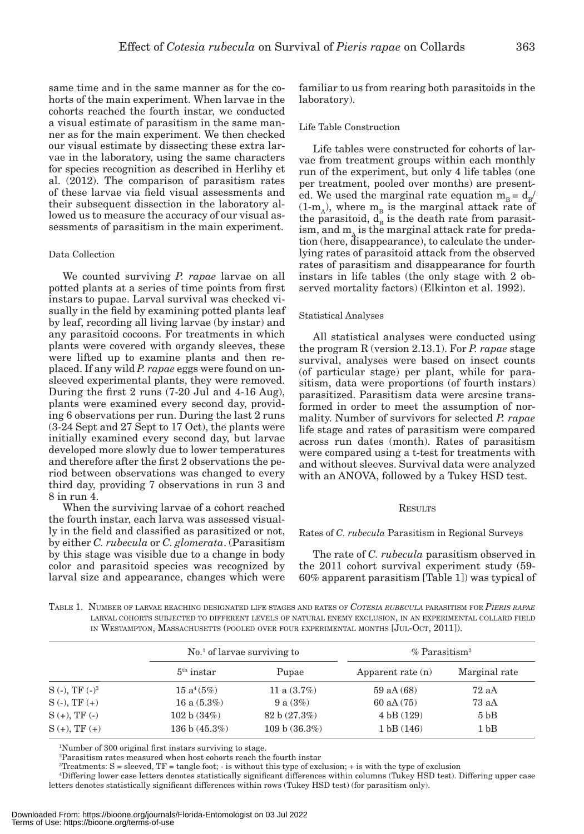same time and in the same manner as for the cohorts of the main experiment. When larvae in the cohorts reached the fourth instar, we conducted a visual estimate of parasitism in the same manner as for the main experiment. We then checked our visual estimate by dissecting these extra larvae in the laboratory, using the same characters for species recognition as described in Herlihy et al. (2012). The comparison of parasitism rates of these larvae via field visual assessments and their subsequent dissection in the laboratory allowed us to measure the accuracy of our visual assessments of parasitism in the main experiment.

### Data Collection

We counted surviving *P. rapae* larvae on all potted plants at a series of time points from first instars to pupae. Larval survival was checked visually in the field by examining potted plants leaf by leaf, recording all living larvae (by instar) and any parasitoid cocoons. For treatments in which plants were covered with organdy sleeves, these were lifted up to examine plants and then replaced. If any wild *P. rapae* eggs were found on unsleeved experimental plants, they were removed. During the first 2 runs (7-20 Jul and 4-16 Aug), plants were examined every second day, providing 6 observations per run. During the last 2 runs (3-24 Sept and 27 Sept to 17 Oct), the plants were initially examined every second day, but larvae developed more slowly due to lower temperatures and therefore after the first 2 observations the period between observations was changed to every third day, providing 7 observations in run 3 and 8 in run 4.

When the surviving larvae of a cohort reached the fourth instar, each larva was assessed visually in the field and classified as parasitized or not, by either *C. rubecula* or *C. glomerata*. (Parasitism by this stage was visible due to a change in body color and parasitoid species was recognized by larval size and appearance, changes which were

familiar to us from rearing both parasitoids in the laboratory).

#### Life Table Construction

Life tables were constructed for cohorts of larvae from treatment groups within each monthly run of the experiment, but only 4 life tables (one per treatment, pooled over months) are presented. We used the marginal rate equation  $m_B = d_B/$  $(1-m_A)$ , where  $m_B$  is the marginal attack rate of the parasitoid,  $d_{B}$  is the death rate from parasitism, and  $m_A$  is the marginal attack rate for predation (here, disappearance), to calculate the underlying rates of parasitoid attack from the observed rates of parasitism and disappearance for fourth instars in life tables (the only stage with 2 observed mortality factors) (Elkinton et al. 1992).

#### Statistical Analyses

All statistical analyses were conducted using the program R (version 2.13.1). For *P. rapae* stage survival, analyses were based on insect counts (of particular stage) per plant, while for parasitism, data were proportions (of fourth instars) parasitized. Parasitism data were arcsine transformed in order to meet the assumption of normality. Number of survivors for selected *P. rapae* life stage and rates of parasitism were compared across run dates (month). Rates of parasitism were compared using a t-test for treatments with and without sleeves. Survival data were analyzed with an ANOVA, followed by a Tukey HSD test.

#### **RESULTS**

#### Rates of *C. rubecula* Parasitism in Regional Surveys

The rate of *C. rubecula* parasitism observed in the 2011 cohort survival experiment study (59- 60% apparent parasitism [Table 1]) was typical of

TABLE 1. NUMBER OF LARVAE REACHING DESIGNATED LIFE STAGES AND RATES OF *COTESIA RUBECULA* PARASITISM FOR *PIERIS RAPAE* LARVAL COHORTS SUBJECTED TO DIFFERENT LEVELS OF NATURAL ENEMY EXCLUSION, IN AN EXPERIMENTAL COLLARD FIELD IN WESTAMPTON, MASSACHUSETTS (POOLED OVER FOUR EXPERIMENTAL MONTHS [JUL-OCT, 2011]).

|                     | $\mathrm{No}$ <sup>1</sup> of larvae surviving to |                | $%$ Parasitism <sup>2</sup> |                 |  |
|---------------------|---------------------------------------------------|----------------|-----------------------------|-----------------|--|
|                     | $5th$ instar                                      | Pupae          | Apparent rate $(n)$         | Marginal rate   |  |
| $S(-)$ , TF $(-)^3$ | $15a^4(5%)$                                       | 11 a $(3.7\%)$ | $59$ aA $(68)$              | 72aA            |  |
| $S(-), TF(+)$       | 16 a $(5.3\%)$                                    | 9 a $(3%)$     | $60$ aA $(75)$              | 73aA            |  |
| $S (+), TF (-)$     | 102 b (34%)                                       | 82 b (27.3%)   | 4 bB (129)                  | 5 <sub>bB</sub> |  |
| $S (+), TF (+)$     | 136 b $(45.3\%)$                                  | 109 b (36.3%)  | 1 bB(146)                   | 1 <sub>bB</sub> |  |

1 Number of 300 original first instars surviving to stage.

2 Parasitism rates measured when host cohorts reach the fourth instar

Treatments:  $S =$  sleeved, TF = tangle foot;  $\cdot$  is without this type of exclusion;  $\cdot$  is with the type of exclusion

4 Differing lower case letters denotes statistically significant differences within columns (Tukey HSD test). Differing upper case letters denotes statistically significant differences within rows (Tukey HSD test) (for parasitism only).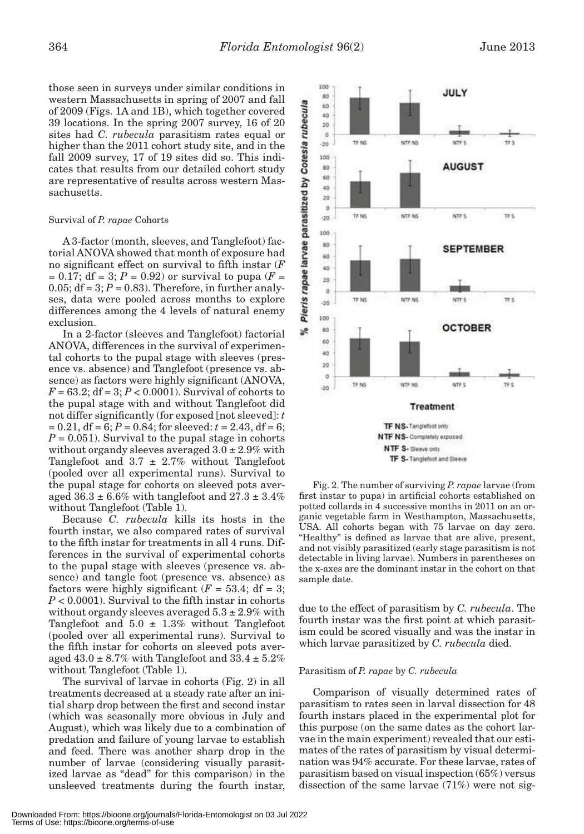those seen in surveys under similar conditions in western Massachusetts in spring of 2007 and fall of 2009 (Figs. 1A and 1B), which together covered 39 locations. In the spring 2007 survey, 16 of 20 sites had *C. rubecula* parasitism rates equal or higher than the 2011 cohort study site, and in the fall 2009 survey, 17 of 19 sites did so. This indicates that results from our detailed cohort study are representative of results across western Massachusetts.

## Survival of *P. rapae* Cohorts

A 3-factor (month, sleeves, and Tanglefoot) factorial ANOVA showed that month of exposure had no significant effect on survival to fifth instar (*F*  $= 0.17$ ; df = 3; *P* = 0.92) or survival to pupa (*F* = 0.05;  $df = 3$ ;  $P = 0.83$ ). Therefore, in further analyses, data were pooled across months to explore differences among the 4 levels of natural enemy exclusion.

In a 2-factor (sleeves and Tanglefoot) factorial ANOVA, differences in the survival of experimental cohorts to the pupal stage with sleeves (presence vs. absence) and Tanglefoot (presence vs. absence) as factors were highly significant (ANOVA,  $F = 63.2$ ; df = 3;  $P < 0.0001$ ). Survival of cohorts to the pupal stage with and without Tanglefoot did not differ significantly (for exposed [not sleeved]: *t*   $= 0.21$ , df = 6;  $P = 0.84$ ; for sleeved:  $t = 2.43$ , df = 6;  $P = 0.051$ ). Survival to the pupal stage in cohorts without organdy sleeves averaged  $3.0 \pm 2.9\%$  with Tanglefoot and  $3.7 \pm 2.7\%$  without Tanglefoot (pooled over all experimental runs). Survival to the pupal stage for cohorts on sleeved pots averaged  $36.3 \pm 6.6\%$  with tanglefoot and  $27.3 \pm 3.4\%$ without Tanglefoot (Table 1).

Because *C. rubecula* kills its hosts in the fourth instar, we also compared rates of survival to the fifth instar for treatments in all 4 runs. Differences in the survival of experimental cohorts to the pupal stage with sleeves (presence vs. absence) and tangle foot (presence vs. absence) as factors were highly significant  $(F = 53.4; df = 3;$  $P < 0.0001$ ). Survival to the fifth instar in cohorts without organdy sleeves averaged  $5.3 \pm 2.9\%$  with Tanglefoot and  $5.0 \pm 1.3\%$  without Tanglefoot (pooled over all experimental runs). Survival to the fifth instar for cohorts on sleeved pots averaged  $43.0 \pm 8.7\%$  with Tanglefoot and  $33.4 \pm 5.2\%$ without Tanglefoot (Table 1).

The survival of larvae in cohorts (Fig. 2) in all treatments decreased at a steady rate after an initial sharp drop between the first and second instar (which was seasonally more obvious in July and August), which was likely due to a combination of predation and failure of young larvae to establish and feed. There was another sharp drop in the number of larvae (considering visually parasitized larvae as "dead" for this comparison) in the unsleeved treatments during the fourth instar,



TF S- Tanglefoot and Sleeve

Fig. 2. The number of surviving *P. rapae* larvae (from first instar to pupa) in artificial cohorts established on potted collards in 4 successive months in 2011 on an organic vegetable farm in Westhampton, Massachusetts, USA. All cohorts began with 75 larvae on day zero. "Healthy" is defined as larvae that are alive, present, and not visibly parasitized (early stage parasitism is not detectable in living larvae). Numbers in parentheses on the x-axes are the dominant instar in the cohort on that sample date.

due to the effect of parasitism by *C. rubecula*. The fourth instar was the first point at which parasitism could be scored visually and was the instar in which larvae parasitized by *C. rubecula* died.

#### Parasitism of *P. rapae* by *C. rubecula*

Comparison of visually determined rates of parasitism to rates seen in larval dissection for 48 fourth instars placed in the experimental plot for this purpose (on the same dates as the cohort larvae in the main experiment) revealed that our estimates of the rates of parasitism by visual determination was 94% accurate. For these larvae, rates of parasitism based on visual inspection (65%) versus dissection of the same larvae (71%) were not sig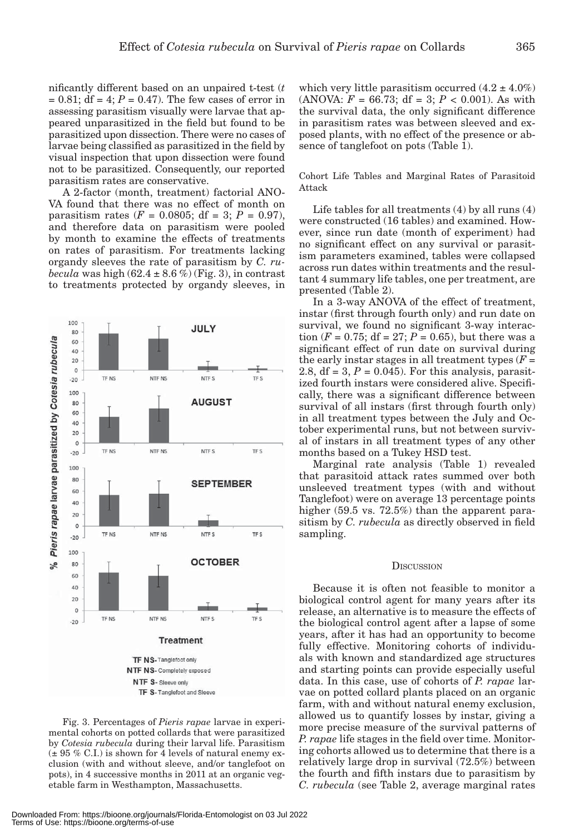nificantly different based on an unpaired t-test (*t*  $= 0.81$ ; df  $= 4$ ;  $P = 0.47$ ). The few cases of error in assessing parasitism visually were larvae that appeared unparasitized in the field but found to be parasitized upon dissection. There were no cases of larvae being classified as parasitized in the field by visual inspection that upon dissection were found not to be parasitized. Consequently, our reported parasitism rates are conservative.

A 2-factor (month, treatment) factorial ANO-VA found that there was no effect of month on parasitism rates ( $F = 0.0805$ ; df = 3;  $P = 0.97$ ), and therefore data on parasitism were pooled by month to examine the effects of treatments on rates of parasitism. For treatments lacking organdy sleeves the rate of parasitism by *C. rubecula* was high  $(62.4 \pm 8.6\%)$  (Fig. 3), in contrast to treatments protected by organdy sleeves, in

NTF NS

NTF NS

NTF NS

JULY

NTF S

**AUGUST** 

NTF S

NTF S

**SEPTEMBER** 

TF<sub>S</sub>

**TF S** 

TF S

100

80

 $-20$ 100

 $-20$ 100 80

 $-20$ 100

TF NS

TF NS

TF NS

Pieris rapae larvae parasitized by Cotesia rubecula



which very little parasitism occurred  $(4.2 \pm 4.0\%)$ (ANOVA:  $F = 66.73$ ; df = 3;  $P < 0.001$ ). As with the survival data, the only significant difference in parasitism rates was between sleeved and exposed plants, with no effect of the presence or absence of tanglefoot on pots (Table 1).

Cohort Life Tables and Marginal Rates of Parasitoid Attack

Life tables for all treatments (4) by all runs (4) were constructed (16 tables) and examined. However, since run date (month of experiment) had no significant effect on any survival or parasitism parameters examined, tables were collapsed across run dates within treatments and the resultant 4 summary life tables, one per treatment, are presented (Table 2).

In a 3-way ANOVA of the effect of treatment, instar (first through fourth only) and run date on survival, we found no significant 3-way interaction ( $F = 0.75$ ; df = 27;  $P = 0.65$ ), but there was a significant effect of run date on survival during the early instar stages in all treatment types  $(F =$ 2.8,  $df = 3$ ,  $P = 0.045$ ). For this analysis, parasitized fourth instars were considered alive. Specifically, there was a significant difference between survival of all instars (first through fourth only) in all treatment types between the July and October experimental runs, but not between survival of instars in all treatment types of any other months based on a Tukey HSD test.

Marginal rate analysis (Table 1) revealed that parasitoid attack rates summed over both unsleeved treatment types (with and without Tanglefoot) were on average 13 percentage points higher (59.5 vs. 72.5%) than the apparent parasitism by *C. rubecula* as directly observed in field sampling.

#### **DISCUSSION**

Because it is often not feasible to monitor a biological control agent for many years after its release, an alternative is to measure the effects of the biological control agent after a lapse of some years, after it has had an opportunity to become fully effective. Monitoring cohorts of individuals with known and standardized age structures and starting points can provide especially useful data. In this case, use of cohorts of *P. rapae* larvae on potted collard plants placed on an organic farm, with and without natural enemy exclusion, allowed us to quantify losses by instar, giving a more precise measure of the survival patterns of *P. rapae* life stages in the field over time. Monitoring cohorts allowed us to determine that there is a relatively large drop in survival (72.5%) between the fourth and fifth instars due to parasitism by *C. rubecula* (see Table 2, average marginal rates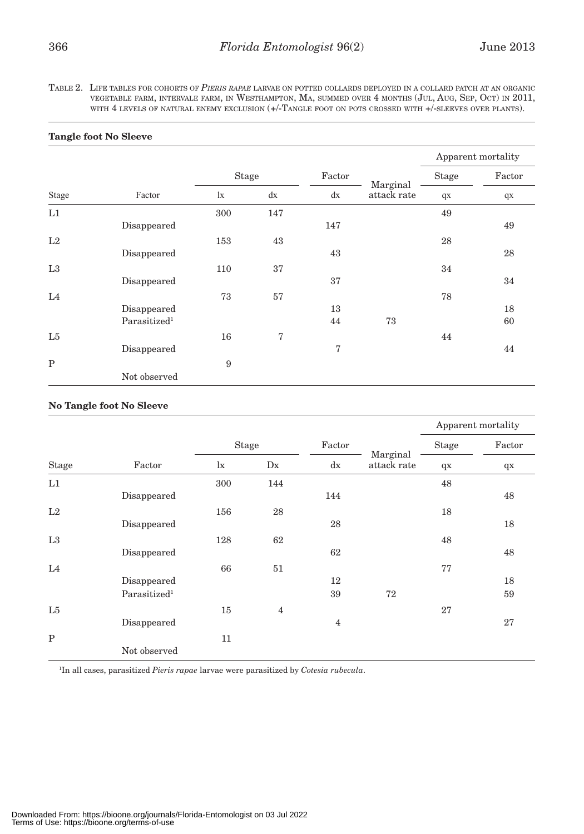TABLE 2. LIFE TABLES FOR COHORTS OF *PIERIS RAPAE* LARVAE ON POTTED COLLARDS DEPLOYED IN <sup>A</sup> COLLARD PATCH AT AN ORGANIC VEGETABLE FARM, INTERVALE FARM, IN WESTHAMPTON, MA, SUMMED OVER 4 MONTHS (JUL, AUG, SEP, OCT) IN 2011, WITH 4 LEVELS OF NATURAL ENEMY EXCLUSION (+/-TANGLE FOOT ON POTS CROSSED WITH +/-SLEEVES OVER PLANTS).

|             |                          |              |     |        |                         | Apparent mortality |        |
|-------------|--------------------------|--------------|-----|--------|-------------------------|--------------------|--------|
|             |                          | <b>Stage</b> |     | Factor |                         | <b>Stage</b>       | Factor |
| Stage       | Factor                   | $\mathbf{I}$ | dx  | dx     | Marginal<br>attack rate | qX                 | $q$ x  |
| L1          |                          | 300          | 147 |        |                         | 49                 |        |
|             | Disappeared              |              |     | 147    |                         |                    | 49     |
| L2          |                          | 153          | 43  |        |                         | 28                 |        |
|             | Disappeared              |              |     | 43     |                         |                    | 28     |
| L3          |                          | 110          | 37  |        |                         | 34                 |        |
|             | Disappeared              |              |     | 37     |                         |                    | 34     |
| L4          |                          | 73           | 57  |        |                         | 78                 |        |
|             | Disappeared              |              |     | 13     |                         |                    | 18     |
|             | Parasitized <sup>1</sup> |              |     | 44     | 73                      |                    | 60     |
| L5          |                          | 16           | 7   |        |                         | 44                 |        |
|             | Disappeared              |              |     | 7      |                         |                    | 44     |
| $\mathbf P$ |                          | 9            |     |        |                         |                    |        |
|             | Not observed             |              |     |        |                         |                    |        |

## **Tangle foot No Sleeve**

## **No Tangle foot No Sleeve**

|                |                          |             |                |                |                         | Apparent mortality |        |
|----------------|--------------------------|-------------|----------------|----------------|-------------------------|--------------------|--------|
|                |                          | Stage       |                | Factor         |                         | Stage              | Factor |
| Stage          | Factor                   | $l_{\rm X}$ | D <sub>X</sub> | dx             | Marginal<br>attack rate | $q$ x              | $q$ x  |
| L1             |                          | 300         | 144            |                |                         | 48                 |        |
|                | Disappeared              |             |                | 144            |                         |                    | 48     |
| L2             |                          | 156         | 28             |                |                         | 18                 |        |
|                | Disappeared              |             |                | 28             |                         |                    | 18     |
| L3             |                          | 128         | 62             |                |                         | 48                 |        |
|                | Disappeared              |             |                | 62             |                         |                    | 48     |
| L <sub>4</sub> |                          | 66          | 51             |                |                         | 77                 |        |
|                | Disappeared              |             |                | 12             |                         |                    | 18     |
|                | Parasitized <sup>1</sup> |             |                | 39             | 72                      |                    | 59     |
| L5             |                          | 15          | $\overline{4}$ |                |                         | 27                 |        |
|                | Disappeared              |             |                | $\overline{4}$ |                         |                    | 27     |
| $\mathbf P$    |                          | 11          |                |                |                         |                    |        |
|                | Not observed             |             |                |                |                         |                    |        |

1 In all cases, parasitized *Pieris rapae* larvae were parasitized by *Cotesia rubecula*.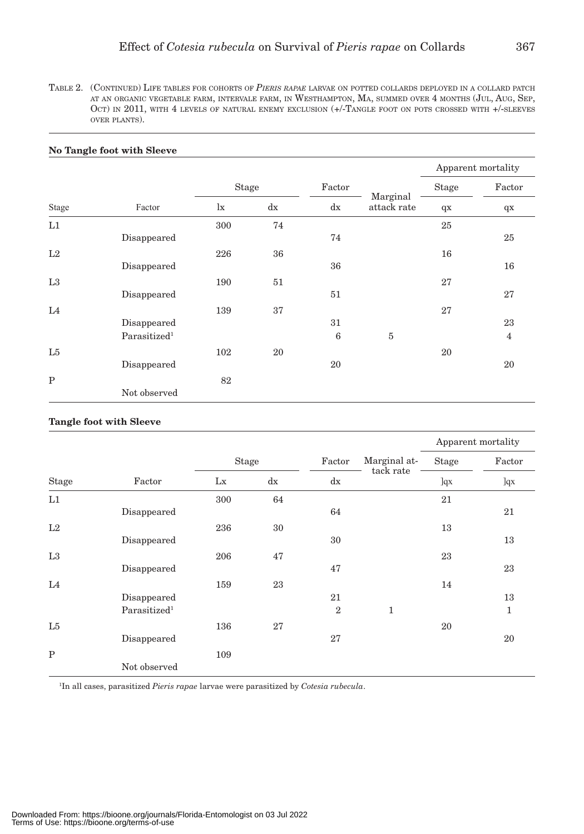TABLE 2. (CONTINUED) LIFE TABLES FOR COHORTS OF *PIERIS RAPAE* LARVAE ON POTTED COLLARDS DEPLOYED IN <sup>A</sup> COLLARD PATCH AT AN ORGANIC VEGETABLE FARM, INTERVALE FARM, IN WESTHAMPTON, MA, SUMMED OVER 4 MONTHS (JUL, AUG, SEP, OCT) IN 2011, WITH 4 LEVELS OF NATURAL ENEMY EXCLUSION (+/-TANGLE FOOT ON POTS CROSSED WITH +/-SLEEVES OVER PLANTS).

|                |                          |              |    |        |                         | Apparent mortality |                |
|----------------|--------------------------|--------------|----|--------|-------------------------|--------------------|----------------|
|                |                          | Stage        |    | Factor |                         | Stage              | Factor         |
| Stage          | Factor                   | $\mathbf{I}$ | dx | dx     | Marginal<br>attack rate | $q$ x              | $q$ x          |
| L1             |                          | 300          | 74 |        |                         | 25                 |                |
|                | Disappeared              |              |    | 74     |                         |                    | 25             |
| L2             |                          | 226          | 36 |        |                         | 16                 |                |
|                | Disappeared              |              |    | 36     |                         |                    | 16             |
| L3             |                          | 190          | 51 |        |                         | 27                 |                |
|                | Disappeared              |              |    | 51     |                         |                    | 27             |
| L4             |                          | 139          | 37 |        |                         | 27                 |                |
|                | Disappeared              |              |    | 31     |                         |                    | 23             |
|                | Parasitized <sup>1</sup> |              |    | 6      | $\overline{5}$          |                    | $\overline{4}$ |
| L <sub>5</sub> |                          | 102          | 20 |        |                         | 20                 |                |
|                | Disappeared              |              |    | 20     |                         |                    | 20             |
| $\mathbf P$    |                          | 82           |    |        |                         |                    |                |
|                | Not observed             |              |    |        |                         |                    |                |

#### **No Tangle foot with Sleeve**

## **Tangle foot with Sleeve**

| Stage       | Factor                   |              |    |                |              | Apparent mortality |        |
|-------------|--------------------------|--------------|----|----------------|--------------|--------------------|--------|
|             |                          | <b>Stage</b> |    | Factor         | Marginal at- | Stage              | Factor |
|             |                          | Lx           | dx | dx             | tack rate    | ]qx                | ]qx    |
| L1          |                          | 300          | 64 |                |              | 21                 |        |
|             | Disappeared              |              |    | 64             |              |                    | 21     |
| L2          |                          | 236          | 30 |                |              | 13                 |        |
|             | Disappeared              |              |    | 30             |              |                    | 13     |
| L3          |                          | 206          | 47 |                |              | 23                 |        |
|             | Disappeared              |              |    | 47             |              |                    | 23     |
| L4          |                          | 159          | 23 |                |              | 14                 |        |
|             | Disappeared              |              |    | 21             |              |                    | 13     |
|             | Parasitized <sup>1</sup> |              |    | $\overline{2}$ | 1            |                    | 1      |
| L5          |                          | 136          | 27 |                |              | 20                 |        |
|             | Disappeared              |              |    | 27             |              |                    | 20     |
| $\mathbf P$ |                          | 109          |    |                |              |                    |        |
|             | Not observed             |              |    |                |              |                    |        |

1 In all cases, parasitized *Pieris rapae* larvae were parasitized by *Cotesia rubecula*.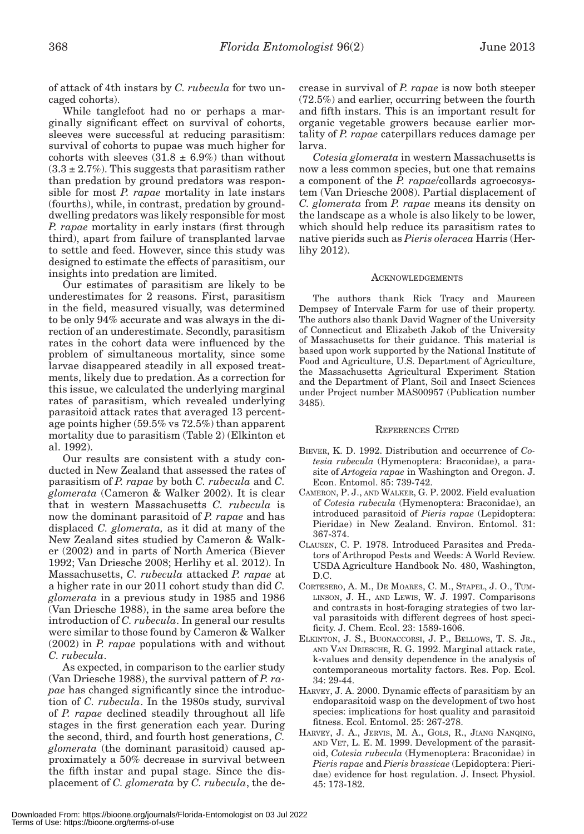of attack of 4th instars by *C. rubecula* for two uncaged cohorts).

While tanglefoot had no or perhaps a marginally significant effect on survival of cohorts, sleeves were successful at reducing parasitism: survival of cohorts to pupae was much higher for cohorts with sleeves  $(31.8 \pm 6.9%)$  than without  $(3.3 \pm 2.7\%)$ . This suggests that parasitism rather than predation by ground predators was responsible for most *P. rapae* mortality in late instars (fourths), while, in contrast, predation by grounddwelling predators was likely responsible for most *P. rapae* mortality in early instars (first through third), apart from failure of transplanted larvae to settle and feed. However, since this study was designed to estimate the effects of parasitism, our insights into predation are limited.

Our estimates of parasitism are likely to be underestimates for 2 reasons. First, parasitism in the field, measured visually, was determined to be only 94% accurate and was always in the direction of an underestimate. Secondly, parasitism rates in the cohort data were influenced by the problem of simultaneous mortality, since some larvae disappeared steadily in all exposed treatments, likely due to predation. As a correction for this issue, we calculated the underlying marginal rates of parasitism, which revealed underlying parasitoid attack rates that averaged 13 percentage points higher (59.5% vs 72.5%) than apparent mortality due to parasitism (Table 2) (Elkinton et al. 1992).

Our results are consistent with a study conducted in New Zealand that assessed the rates of parasitism of *P. rapae* by both *C. rubecula* and *C. glomerata* (Cameron & Walker 2002). It is clear that in western Massachusetts *C. rubecula* is now the dominant parasitoid of *P. rapae* and has displaced *C. glomerata,* as it did at many of the New Zealand sites studied by Cameron & Walker (2002) and in parts of North America (Biever 1992; Van Driesche 2008; Herlihy et al. 2012). In Massachusetts, *C. rubecula* attacked *P. rapae* at a higher rate in our 2011 cohort study than did *C. glomerata* in a previous study in 1985 and 1986 (Van Driesche 1988), in the same area before the introduction of *C. rubecula*. In general our results were similar to those found by Cameron & Walker (2002) in *P. rapae* populations with and without *C. rubecula*.

As expected, in comparison to the earlier study (Van Driesche 1988), the survival pattern of *P. rapae* has changed significantly since the introduction of *C. rubecula*. In the 1980s study, survival of *P. rapae* declined steadily throughout all life stages in the first generation each year. During the second, third, and fourth host generations, *C. glomerata* (the dominant parasitoid) caused approximately a 50% decrease in survival between the fifth instar and pupal stage. Since the displacement of *C. glomerata* by *C. rubecula*, the decrease in survival of *P. rapae* is now both steeper (72.5%) and earlier, occurring between the fourth and fifth instars. This is an important result for organic vegetable growers because earlier mortality of *P. rapae* caterpillars reduces damage per larva.

*Cotesia glomerata* in western Massachusetts is now a less common species, but one that remains a component of the *P. rapae*/collards agroecosystem (Van Driesche 2008). Partial displacement of *C. glomerata* from *P. rapae* means its density on the landscape as a whole is also likely to be lower, which should help reduce its parasitism rates to native pierids such as *Pieris oleracea* Harris (Herlihy 2012).

#### **ACKNOWLEDGEMENTS**

The authors thank Rick Tracy and Maureen Dempsey of Intervale Farm for use of their property. The authors also thank David Wagner of the University of Connecticut and Elizabeth Jakob of the University of Massachusetts for their guidance. This material is based upon work supported by the National Institute of Food and Agriculture, U.S. Department of Agriculture, the Massachusetts Agricultural Experiment Station and the Department of Plant, Soil and Insect Sciences under Project number MAS00957 (Publication number 3485).

#### REFERENCES CITED

- BIEVER, K. D. 1992. Distribution and occurrence of *Cotesia rubecula* (Hymenoptera: Braconidae), a parasite of *Artogeia rapae* in Washington and Oregon. J. Econ. Entomol. 85: 739-742.
- CAMERON, P. J., AND WALKER, G. P. 2002. Field evaluation of *Cotesia rubecula* (Hymenoptera: Braconidae), an introduced parasitoid of *Pieris rapae* (Lepidoptera: Pieridae) in New Zealand. Environ. Entomol. 31: 367-374.
- CLAUSEN, C. P. 1978. Introduced Parasites and Predators of Arthropod Pests and Weeds: A World Review. USDA Agriculture Handbook No. 480, Washington, D.C.
- CORTESERO, A. M., DE MOARES, C. M., STAPEL, J. O., TUM-LINSON, J. H., AND LEWIS, W. J. 1997. Comparisons and contrasts in host-foraging strategies of two larval parasitoids with different degrees of host specificity. J. Chem. Ecol. 23: 1589-1606.
- ELKINTON, J. S., BUONACCORSI, J. P., BELLOWS, T. S. JR., AND VAN DRIESCHE, R. G. 1992. Marginal attack rate, k-values and density dependence in the analysis of contemporaneous mortality factors. Res. Pop. Ecol. 34: 29-44.
- HARVEY, J. A. 2000. Dynamic effects of parasitism by an endoparasitoid wasp on the development of two host species: implications for host quality and parasitoid fitness. Ecol. Entomol. 25: 267-278.
- HARVEY, J. A., JERVIS, M. A., GOLS, R., JIANG NANQING, AND VET, L. E. M. 1999. Development of the parasitoid, *Cotesia rubecula* (Hymenoptera: Braconidae) in *Pieris rapae* and *Pieris brassicae* (Lepidoptera: Pieridae) evidence for host regulation. J. Insect Physiol. 45: 173-182.